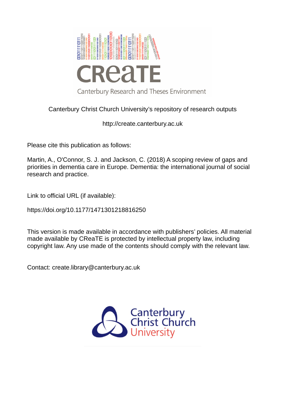

# Canterbury Christ Church University's repository of research outputs

http://create.canterbury.ac.uk

Please cite this publication as follows:

Martin, A., O'Connor, S. J. and Jackson, C. (2018) A scoping review of gaps and priorities in dementia care in Europe. Dementia: the international journal of social research and practice.

Link to official URL (if available):

https://doi.org/10.1177/1471301218816250

This version is made available in accordance with publishers' policies. All material made available by CReaTE is protected by intellectual property law, including copyright law. Any use made of the contents should comply with the relevant law.

Contact: create.library@canterbury.ac.uk

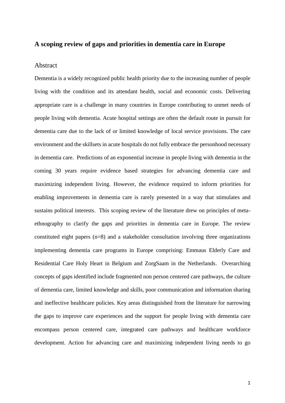# **A scoping review of gaps and priorities in dementia care in Europe**

### Abstract

Dementia is a widely recognized public health priority due to the increasing number of people living with the condition and its attendant health, social and economic costs. Delivering appropriate care is a challenge in many countries in Europe contributing to unmet needs of people living with dementia. Acute hospital settings are often the default route in pursuit for dementia care due to the lack of or limited knowledge of local service provisions. The care environment and the skillsets in acute hospitals do not fully embrace the personhood necessary in dementia care. Predictions of an exponential increase in people living with dementia in the coming 30 years require evidence based strategies for advancing dementia care and maximizing independent living. However, the evidence required to inform priorities for enabling improvements in dementia care is rarely presented in a way that stimulates and sustains political interests. This scoping review of the literature drew on principles of metaethnography to clarify the gaps and priorities in dementia care in Europe. The review constituted eight papers (n=8) and a stakeholder consultation involving three organizations implementing dementia care programs in Europe comprising: Emmaus Elderly Care and Residential Care Holy Heart in Belgium and ZorgSaam in the Netherlands. Overarching concepts of gaps identified include fragmented non person centered care pathways, the culture of dementia care, limited knowledge and skills, poor communication and information sharing and ineffective healthcare policies. Key areas distinguished from the literature for narrowing the gaps to improve care experiences and the support for people living with dementia care encompass person centered care, integrated care pathways and healthcare workforce development. Action for advancing care and maximizing independent living needs to go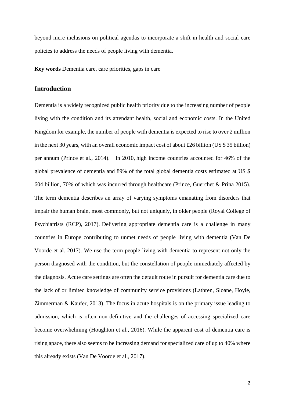beyond mere inclusions on political agendas to incorporate a shift in health and social care policies to address the needs of people living with dementia.

**Key words** Dementia care, care priorities, gaps in care

# **Introduction**

Dementia is a widely recognized public health priority due to the increasing number of people living with the condition and its attendant health, social and economic costs. In the United Kingdom for example, the number of people with dementia is expected to rise to over 2 million in the next 30 years, with an overall economic impact cost of about £26 billion (US \$ 35 billion) per annum (Prince et al., 2014). In 2010, high income countries accounted for 46% of the global prevalence of dementia and 89% of the total global dementia costs estimated at US \$ 604 billion, 70% of which was incurred through healthcare (Prince, Guerchet & Prina 2015). The term dementia describes an array of varying symptoms emanating from disorders that impair the human brain, most commonly, but not uniquely, in older people (Royal College of Psychiatrists (RCP), 2017). Delivering appropriate dementia care is a challenge in many countries in Europe contributing to unmet needs of people living with dementia (Van De Voorde et al. 2017). We use the term people living with dementia to represent not only the person diagnosed with the condition, but the constellation of people immediately affected by the diagnosis. Acute care settings are often the default route in pursuit for dementia care due to the lack of or limited knowledge of community service provisions (Lathren, Sloane, Hoyle, Zimmerman & Kaufer, 2013). The focus in acute hospitals is on the primary issue leading to admission, which is often non-definitive and the challenges of accessing specialized care become overwhelming (Houghton et al., 2016). While the apparent cost of dementia care is rising apace, there also seems to be increasing demand for specialized care of up to 40% where this already exists (Van De Voorde et al., 2017).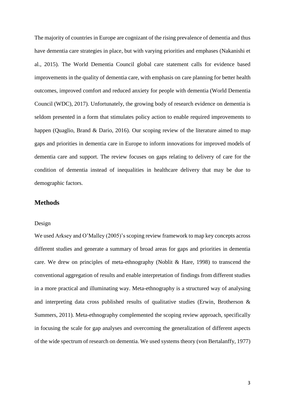The majority of countries in Europe are cognizant of the rising prevalence of dementia and thus have dementia care strategies in place, but with varying priorities and emphases (Nakanishi et al., 2015). The World Dementia Council global care statement calls for evidence based improvements in the quality of dementia care, with emphasis on care planning for better health outcomes, improved comfort and reduced anxiety for people with dementia (World Dementia Council (WDC), 2017). Unfortunately, the growing body of research evidence on dementia is seldom presented in a form that stimulates policy action to enable required improvements to happen (Quaglio, Brand & Dario, 2016). Our scoping review of the literature aimed to map gaps and priorities in dementia care in Europe to inform innovations for improved models of dementia care and support. The review focuses on gaps relating to delivery of care for the condition of dementia instead of inequalities in healthcare delivery that may be due to demographic factors.

# **Methods**

# Design

We used Arksey and O'Malley (2005)'s scoping review framework to map key concepts across different studies and generate a summary of broad areas for gaps and priorities in dementia care. We drew on principles of meta-ethnography (Noblit & Hare, 1998) to transcend the conventional aggregation of results and enable interpretation of findings from different studies in a more practical and illuminating way. Meta-ethnography is a structured way of analysing and interpreting data cross published results of qualitative studies (Erwin, Brotherson & Summers, 2011). Meta-ethnography complemented the scoping review approach, specifically in focusing the scale for gap analyses and overcoming the generalization of different aspects of the wide spectrum of research on dementia. We used systems theory (von Bertalanffy, 1977)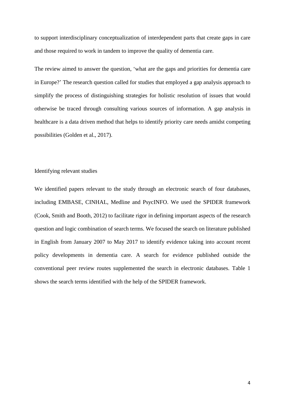to support interdisciplinary conceptualization of interdependent parts that create gaps in care and those required to work in tandem to improve the quality of dementia care.

The review aimed to answer the question, 'what are the gaps and priorities for dementia care in Europe?' The research question called for studies that employed a gap analysis approach to simplify the process of distinguishing strategies for holistic resolution of issues that would otherwise be traced through consulting various sources of information. A gap analysis in healthcare is a data driven method that helps to identify priority care needs amidst competing possibilities (Golden et al., 2017).

# Identifying relevant studies

We identified papers relevant to the study through an electronic search of four databases, including EMBASE, CINHAL, Medline and PsycINFO. We used the SPIDER framework (Cook, Smith and Booth, 2012) to facilitate rigor in defining important aspects of the research question and logic combination of search terms. We focused the search on literature published in English from January 2007 to May 2017 to identify evidence taking into account recent policy developments in dementia care. A search for evidence published outside the conventional peer review routes supplemented the search in electronic databases. Table 1 shows the search terms identified with the help of the SPIDER framework.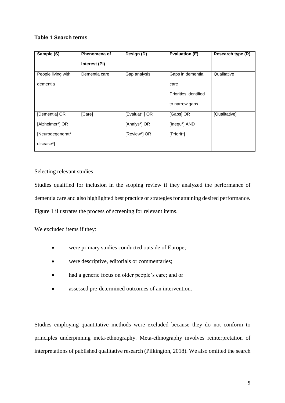# **Table 1 Search terms**

| Sample (S)         | Phenomena of  | Design (D)    | Evaluation (E)        | Research type (R) |
|--------------------|---------------|---------------|-----------------------|-------------------|
|                    | Interest (PI) |               |                       |                   |
| People living with | Dementia care | Gap analysis  | Gaps in dementia      | Qualitative       |
| dementia           |               |               | care                  |                   |
|                    |               |               | Priorities identified |                   |
|                    |               |               | to narrow gaps        |                   |
| [Dementia] OR      | [Care]        | [Evaluat*] OR | [Gaps] OR             | [Qualitative]     |
| [Alzheimer*] OR    |               | [Analys*] OR  | [Inequ*] AND          |                   |
| [Neurodegenerat*   |               | [Review*] OR  | [Priorit*]            |                   |
| disease*]          |               |               |                       |                   |

# Selecting relevant studies

Studies qualified for inclusion in the scoping review if they analyzed the performance of dementia care and also highlighted best practice or strategies for attaining desired performance. Figure 1 illustrates the process of screening for relevant items.

We excluded items if they:

- were primary studies conducted outside of Europe;
- were descriptive, editorials or commentaries;
- had a generic focus on older people's care; and or
- assessed pre-determined outcomes of an intervention.

Studies employing quantitative methods were excluded because they do not conform to principles underpinning meta-ethnography. Meta-ethnography involves reinterpretation of interpretations of published qualitative research (Pilkington, 2018). We also omitted the search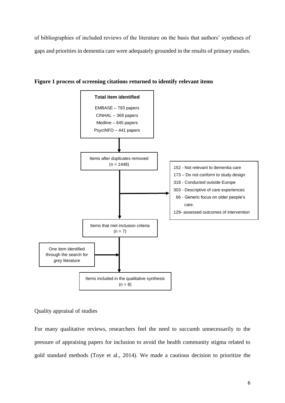of bibliographies of included reviews of the literature on the basis that authors' syntheses of gaps and priorities in dementia care were adequately grounded in the results of primary studies.



**Figure 1 process of screening citations returned to identify relevant items**

# Quality appraisal of studies

For many qualitative reviews, researchers feel the need to succumb unnecessarily to the pressure of appraising papers for inclusion to avoid the health community stigma related to gold standard methods (Toye et al., 2014). We made a cautious decision to prioritize the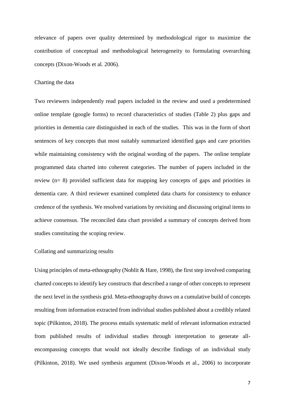relevance of papers over quality determined by methodological rigor to maximize the contribution of conceptual and methodological heterogeneity to formulating overarching concepts (Dixon-Woods et al. 2006).

#### Charting the data

Two reviewers independently read papers included in the review and used a predetermined online template (google forms) to record characteristics of studies (Table 2) plus gaps and priorities in dementia care distinguished in each of the studies. This was in the form of short sentences of key concepts that most suitably summarized identified gaps and care priorities while maintaining consistency with the original wording of the papers. The online template programmed data charted into coherent categories. The number of papers included in the review (n= 8) provided sufficient data for mapping key concepts of gaps and priorities in dementia care. A third reviewer examined completed data charts for consistency to enhance credence of the synthesis. We resolved variations by revisiting and discussing original items to achieve consensus. The reconciled data chart provided a summary of concepts derived from studies constituting the scoping review.

#### Collating and summarizing results

Using principles of meta-ethnography (Noblit & Hare, 1998), the first step involved comparing charted concepts to identify key constructs that described a range of other concepts to represent the next level in the synthesis grid. Meta-ethnography draws on a cumulative build of concepts resulting from information extracted from individual studies published about a credibly related topic (Pilkinton, 2018). The process entails systematic meld of relevant information extracted from published results of individual studies through interpretation to generate allencompassing concepts that would not ideally describe findings of an individual study (Pilkinton, 2018). We used synthesis argument (Dixon-Woods et al., 2006) to incorporate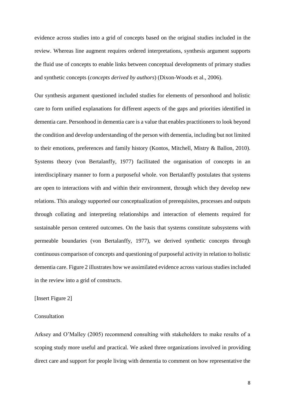evidence across studies into a grid of concepts based on the original studies included in the review. Whereas line augment requires ordered interpretations, synthesis argument supports the fluid use of concepts to enable links between conceptual developments of primary studies and synthetic concepts (*concepts derived by authors*) (Dixon-Woods et al., 2006).

Our synthesis argument questioned included studies for elements of personhood and holistic care to form unified explanations for different aspects of the gaps and priorities identified in dementia care. Personhood in dementia care is a value that enables practitioners to look beyond the condition and develop understanding of the person with dementia, including but not limited to their emotions, preferences and family history (Kontos, Mitchell, Mistry & Ballon, 2010). Systems theory (von Bertalanffy, 1977) facilitated the organisation of concepts in an interdisciplinary manner to form a purposeful whole. von Bertalanffy postulates that systems are open to interactions with and within their environment, through which they develop new relations. This analogy supported our conceptualization of prerequisites, processes and outputs through collating and interpreting relationships and interaction of elements required for sustainable person centered outcomes. On the basis that systems constitute subsystems with permeable boundaries (von Bertalanffy, 1977), we derived synthetic concepts through continuous comparison of concepts and questioning of purposeful activity in relation to holistic dementia care. Figure 2 illustrates how we assimilated evidence across various studies included in the review into a grid of constructs.

### [Insert Figure 2]

#### Consultation

Arksey and O'Malley (2005) recommend consulting with stakeholders to make results of a scoping study more useful and practical. We asked three organizations involved in providing direct care and support for people living with dementia to comment on how representative the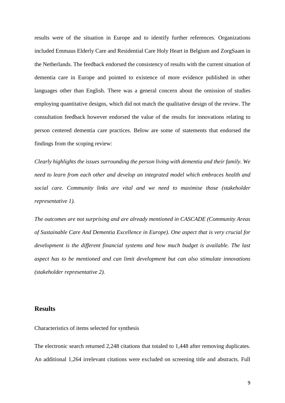results were of the situation in Europe and to identify further references. Organizations included Emmaus Elderly Care and Residential Care Holy Heart in Belgium and ZorgSaam in the Netherlands. The feedback endorsed the consistency of results with the current situation of dementia care in Europe and pointed to existence of more evidence published in other languages other than English. There was a general concern about the omission of studies employing quantitative designs, which did not match the qualitative design of the review. The consultation feedback however endorsed the value of the results for innovations relating to person centered dementia care practices. Below are some of statements that endorsed the findings from the scoping review:

*Clearly highlights the issues surrounding the person living with dementia and their family. We need to learn from each other and develop an integrated model which embraces health and social care. Community links are vital and we need to maximise those (stakeholder representative 1).*

*The outcomes are not surprising and are already mentioned in CASCADE (Community Areas of Sustainable Care And Dementia Excellence in Europe). One aspect that is very crucial for development is the different financial systems and how much budget is available. The last aspect has to be mentioned and can limit development but can also stimulate innovations (stakeholder representative 2).*

# **Results**

Characteristics of items selected for synthesis

The electronic search returned 2,248 citations that totaled to 1,448 after removing duplicates. An additional 1,264 irrelevant citations were excluded on screening title and abstracts. Full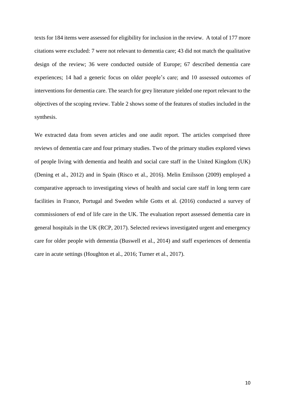texts for 184 items were assessed for eligibility for inclusion in the review. A total of 177 more citations were excluded: 7 were not relevant to dementia care; 43 did not match the qualitative design of the review; 36 were conducted outside of Europe; 67 described dementia care experiences; 14 had a generic focus on older people's care; and 10 assessed outcomes of interventions for dementia care. The search for grey literature yielded one report relevant to the objectives of the scoping review. Table 2 shows some of the features of studies included in the synthesis.

We extracted data from seven articles and one audit report. The articles comprised three reviews of dementia care and four primary studies. Two of the primary studies explored views of people living with dementia and health and social care staff in the United Kingdom (UK) (Dening et al., 2012) and in Spain (Risco et al., 2016). Melin Emilsson (2009) employed a comparative approach to investigating views of health and social care staff in long term care facilities in France, Portugal and Sweden while Gotts et al. (2016) conducted a survey of commissioners of end of life care in the UK. The evaluation report assessed dementia care in general hospitals in the UK (RCP, 2017). Selected reviews investigated urgent and emergency care for older people with dementia (Buswell et al., 2014) and staff experiences of dementia care in acute settings (Houghton et al., 2016; Turner et al., 2017).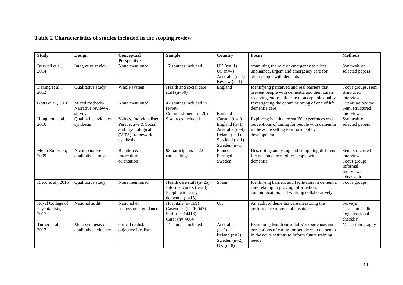# **Table 2 Characteristics of studies included in the scoping review**

| <b>Study</b>                               | Design                                         | Conceptual<br><b>Perspective</b>                                                                      | <b>Sample</b>                                                                                    | Country                                                                                                         | <b>Focus</b>                                                                                                                                                | <b>Methods</b>                                                                                 |
|--------------------------------------------|------------------------------------------------|-------------------------------------------------------------------------------------------------------|--------------------------------------------------------------------------------------------------|-----------------------------------------------------------------------------------------------------------------|-------------------------------------------------------------------------------------------------------------------------------------------------------------|------------------------------------------------------------------------------------------------|
| Buswell et al.,<br>2014                    | Integrative review                             | None mentioned                                                                                        | 17 sources included                                                                              | $UK(n=11)$<br>$US(n=4)$<br>Australia $(n=1)$<br>Review $(n=1)$                                                  | examining the role of emergency services<br>unplanned, urgent and emergency care for<br>older people with dementia                                          | Synthesis of<br>selected papers                                                                |
| Dening et al.,<br>2012                     | Qualitative study                              | Whole system                                                                                          | Health and social care<br>staff $(n=50)$                                                         | England                                                                                                         | Identifying perceived and real barriers that<br>prevent people with dementia and their carers<br>receiving end-of-life care of acceptable quality           | Focus groups, semi<br>structured<br>interviews                                                 |
| Gotts et al., 2016                         | Mixed methods-<br>Narrative review &<br>survey | None mentioned                                                                                        | 42 sources included in<br>review<br>Commissioners $(n=20)$                                       | England                                                                                                         | Investigating the commissioning of end of life<br>dementia care                                                                                             | Literature review<br>Semi structured<br>interviews                                             |
| Houghton et al.,<br>2016                   | Qualitative evidence<br>synthesis              | Values, Individualised,<br>Perspective & Social<br>and psychological<br>(VIPS) framework<br>synthesis | 9 sources included                                                                               | Canada $(n=1)$<br>England $(n=1)$<br>Australia $(n=4)$<br>Ireland $(n=1)$<br>Scotland $(n=1)$<br>Sweden $(n=1)$ | Exploring health care staffs' experiences and<br>perceptions of caring for people with dementia<br>in the acute setting to inform policy<br>development     | Synthesis of<br>selected papers                                                                |
| Melin Emilsson,<br>2009                    | A comparative<br>qualitative study             | Relation &<br>intercultural<br>orientation                                                            | 98 participants in 22<br>care settings                                                           | France<br>Portugal<br>Sweden                                                                                    | Describing, analysing and comparing different<br>focuses on care of older people with<br>dementia                                                           | Semi structured<br>interviews<br>Focus groups<br>Informal<br><b>Interviews</b><br>Observations |
| Risco et al., 2015                         | Qualitative study                              | None mentioned                                                                                        | Health care staff $(n=25)$<br>Informal carers $(n=20)$<br>People with early<br>dementia $(n=15)$ | Spain                                                                                                           | Identifying barriers and facilitators in dementia<br>care relating to proving information,<br>communication, and working collaboratively                    | Focus groups                                                                                   |
| Royal College of<br>Psychiatrists,<br>2017 | National audit                                 | National &<br>professional guidance                                                                   | Hospitals (n=199)<br>Casenotes ( $n = 10047$ )<br>Staff ( $n = 14416$ )<br>Carer ( $n=4664$ )    | UK                                                                                                              | An audit of dementia care measuring the<br>performance of general hospitals                                                                                 | Surveys<br>Case note audit<br>Organisational<br>checklist                                      |
| Turner et al.,<br>2017                     | Meta-synthesis of<br>qualitative evidence      | critical realist/<br>objective idealism                                                               | 14 sources included                                                                              | Australia $=$<br>$(n=2)$<br>Ireland $(n=2)$<br>Sweden $(n=2)$<br>$UK(n=8)$                                      | Examining health care staffs' experiences and<br>perceptions of caring for people with dementia<br>in the acute settings to inform future training<br>needs | Meta-ethnography                                                                               |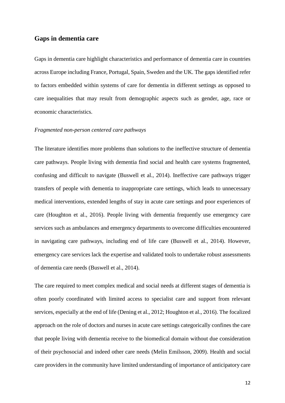# **Gaps in dementia care**

Gaps in dementia care highlight characteristics and performance of dementia care in countries across Europe including France, Portugal, Spain, Sweden and the UK. The gaps identified refer to factors embedded within systems of care for dementia in different settings as opposed to care inequalities that may result from demographic aspects such as gender, age, race or economic characteristics.

#### *Fragmented non-person centered care pathways*

The literature identifies more problems than solutions to the ineffective structure of dementia care pathways. People living with dementia find social and health care systems fragmented, confusing and difficult to navigate (Buswell et al., 2014). Ineffective care pathways trigger transfers of people with dementia to inappropriate care settings, which leads to unnecessary medical interventions, extended lengths of stay in acute care settings and poor experiences of care (Houghton et al., 2016). People living with dementia frequently use emergency care services such as ambulances and emergency departments to overcome difficulties encountered in navigating care pathways, including end of life care (Buswell et al., 2014). However, emergency care services lack the expertise and validated tools to undertake robust assessments of dementia care needs (Buswell et al., 2014).

The care required to meet complex medical and social needs at different stages of dementia is often poorly coordinated with limited access to specialist care and support from relevant services, especially at the end of life (Dening et al., 2012; Houghton et al., 2016). The focalized approach on the role of doctors and nurses in acute care settings categorically confines the care that people living with dementia receive to the biomedical domain without due consideration of their psychosocial and indeed other care needs (Melin Emilsson, 2009). Health and social care providers in the community have limited understanding of importance of anticipatory care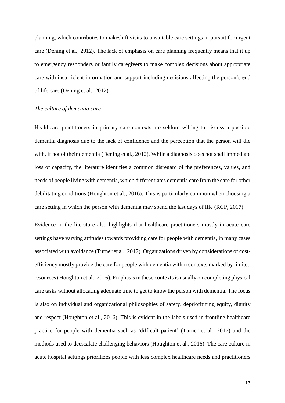planning, which contributes to makeshift visits to unsuitable care settings in pursuit for urgent care (Dening et al., 2012). The lack of emphasis on care planning frequently means that it up to emergency responders or family caregivers to make complex decisions about appropriate care with insufficient information and support including decisions affecting the person's end of life care (Dening et al., 2012).

#### *The culture of dementia care*

Healthcare practitioners in primary care contexts are seldom willing to discuss a possible dementia diagnosis due to the lack of confidence and the perception that the person will die with, if not of their dementia (Dening et al., 2012). While a diagnosis does not spell immediate loss of capacity, the literature identifies a common disregard of the preferences, values, and needs of people living with dementia, which differentiates dementia care from the care for other debilitating conditions (Houghton et al., 2016). This is particularly common when choosing a care setting in which the person with dementia may spend the last days of life (RCP, 2017).

Evidence in the literature also highlights that healthcare practitioners mostly in acute care settings have varying attitudes towards providing care for people with dementia, in many cases associated with avoidance (Turner et al., 2017). Organizations driven by considerations of costefficiency mostly provide the care for people with dementia within contexts marked by limited resources (Houghton et al., 2016). Emphasis in these contexts is usually on completing physical care tasks without allocating adequate time to get to know the person with dementia. The focus is also on individual and organizational philosophies of safety, deprioritizing equity, dignity and respect (Houghton et al., 2016). This is evident in the labels used in frontline healthcare practice for people with dementia such as 'difficult patient' (Turner et al., 2017) and the methods used to deescalate challenging behaviors (Houghton et al., 2016). The care culture in acute hospital settings prioritizes people with less complex healthcare needs and practitioners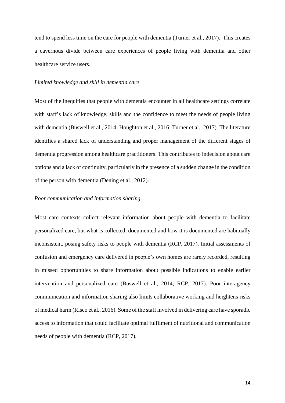tend to spend less time on the care for people with dementia (Turner et al., 2017). This creates a cavernous divide between care experiences of people living with dementia and other healthcare service users.

#### *Limited knowledge and skill in dementia care*

Most of the inequities that people with dementia encounter in all healthcare settings correlate with staff's lack of knowledge, skills and the confidence to meet the needs of people living with dementia (Buswell et al., 2014; Houghton et al., 2016; Turner et al., 2017). The literature identifies a shared lack of understanding and proper management of the different stages of dementia progression among healthcare practitioners. This contributes to indecision about care options and a lack of continuity, particularly in the presence of a sudden change in the condition of the person with dementia (Dening et al., 2012).

#### *Poor communication and information sharing*

Most care contexts collect relevant information about people with dementia to facilitate personalized care, but what is collected, documented and how it is documented are habitually inconsistent, posing safety risks to people with dementia (RCP, 2017). Initial assessments of confusion and emergency care delivered in people's own homes are rarely recorded, resulting in missed opportunities to share information about possible indications to enable earlier intervention and personalized care (Buswell et al., 2014; RCP, 2017). Poor interagency communication and information sharing also limits collaborative working and heightens risks of medical harm (Risco et al., 2016). Some of the staff involved in delivering care have sporadic access to information that could facilitate optimal fulfilment of nutritional and communication needs of people with dementia (RCP, 2017).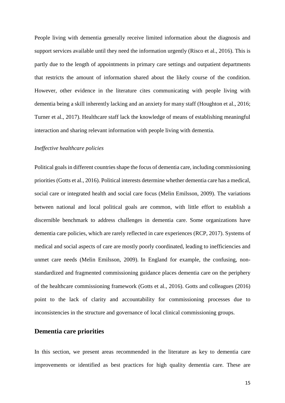People living with dementia generally receive limited information about the diagnosis and support services available until they need the information urgently (Risco et al., 2016). This is partly due to the length of appointments in primary care settings and outpatient departments that restricts the amount of information shared about the likely course of the condition. However, other evidence in the literature cites communicating with people living with dementia being a skill inherently lacking and an anxiety for many staff (Houghton et al., 2016; Turner et al., 2017). Healthcare staff lack the knowledge of means of establishing meaningful interaction and sharing relevant information with people living with dementia.

#### *Ineffective healthcare policies*

Political goals in different countries shape the focus of dementia care, including commissioning priorities (Gotts et al., 2016). Political interests determine whether dementia care has a medical, social care or integrated health and social care focus (Melin Emilsson, 2009). The variations between national and local political goals are common, with little effort to establish a discernible benchmark to address challenges in dementia care. Some organizations have dementia care policies, which are rarely reflected in care experiences (RCP, 2017). Systems of medical and social aspects of care are mostly poorly coordinated, leading to inefficiencies and unmet care needs (Melin Emilsson, 2009). In England for example, the confusing, nonstandardized and fragmented commissioning guidance places dementia care on the periphery of the healthcare commissioning framework (Gotts et al., 2016). Gotts and colleagues (2016) point to the lack of clarity and accountability for commissioning processes due to inconsistencies in the structure and governance of local clinical commissioning groups.

### **Dementia care priorities**

In this section, we present areas recommended in the literature as key to dementia care improvements or identified as best practices for high quality dementia care. These are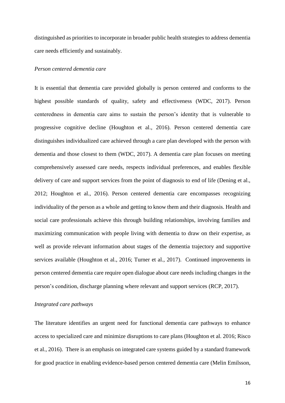distinguished as priorities to incorporate in broader public health strategies to address dementia care needs efficiently and sustainably.

#### *Person centered dementia care*

It is essential that dementia care provided globally is person centered and conforms to the highest possible standards of quality, safety and effectiveness (WDC, 2017). Person centeredness in dementia care aims to sustain the person's identity that is vulnerable to progressive cognitive decline (Houghton et al., 2016). Person centered dementia care distinguishes individualized care achieved through a care plan developed with the person with dementia and those closest to them (WDC, 2017). A dementia care plan focuses on meeting comprehensively assessed care needs, respects individual preferences, and enables flexible delivery of care and support services from the point of diagnosis to end of life (Dening et al., 2012; Houghton et al., 2016). Person centered dementia care encompasses recognizing individuality of the person as a whole and getting to know them and their diagnosis. Health and social care professionals achieve this through building relationships, involving families and maximizing communication with people living with dementia to draw on their expertise, as well as provide relevant information about stages of the dementia trajectory and supportive services available (Houghton et al., 2016; Turner et al., 2017). Continued improvements in person centered dementia care require open dialogue about care needs including changes in the person's condition, discharge planning where relevant and support services (RCP, 2017).

#### *Integrated care pathways*

The literature identifies an urgent need for functional dementia care pathways to enhance access to specialized care and minimize disruptions to care plans (Houghton et al. 2016; Risco et al., 2016). There is an emphasis on integrated care systems guided by a standard framework for good practice in enabling evidence-based person centered dementia care (Melin Emilsson,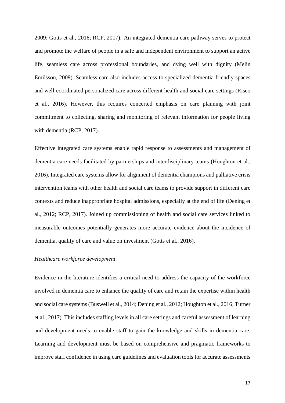2009; Gotts et al., 2016; RCP, 2017). An integrated dementia care pathway serves to protect and promote the welfare of people in a safe and independent environment to support an active life, seamless care across professional boundaries, and dying well with dignity (Melin Emilsson, 2009). Seamless care also includes access to specialized dementia friendly spaces and well-coordinated personalized care across different health and social care settings (Risco et al., 2016). However, this requires concerted emphasis on care planning with joint commitment to collecting, sharing and monitoring of relevant information for people living with dementia (RCP, 2017).

Effective integrated care systems enable rapid response to assessments and management of dementia care needs facilitated by partnerships and interdisciplinary teams (Houghton et al., 2016). Integrated care systems allow for alignment of dementia champions and palliative crisis intervention teams with other health and social care teams to provide support in different care contexts and reduce inappropriate hospital admissions, especially at the end of life (Dening et al., 2012; RCP, 2017). Joined up commissioning of health and social care services linked to measurable outcomes potentially generates more accurate evidence about the incidence of dementia, quality of care and value on investment (Gotts et al., 2016).

#### *Healthcare workforce development*

Evidence in the literature identifies a critical need to address the capacity of the workforce involved in dementia care to enhance the quality of care and retain the expertise within health and social care systems(Buswell et al., 2014; Dening et al., 2012; Houghton et al., 2016; Turner et al., 2017). This includes staffing levels in all care settings and careful assessment of learning and development needs to enable staff to gain the knowledge and skills in dementia care. Learning and development must be based on comprehensive and pragmatic frameworks to improve staff confidence in using care guidelines and evaluation tools for accurate assessments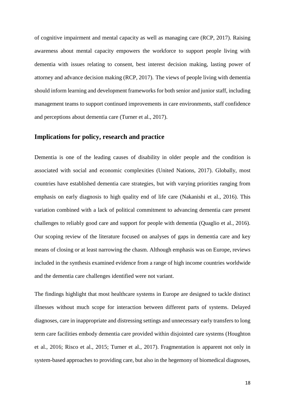of cognitive impairment and mental capacity as well as managing care (RCP, 2017). Raising awareness about mental capacity empowers the workforce to support people living with dementia with issues relating to consent, best interest decision making, lasting power of attorney and advance decision making (RCP, 2017). The views of people living with dementia should inform learning and development frameworks for both senior and junior staff, including management teams to support continued improvements in care environments, staff confidence and perceptions about dementia care (Turner et al., 2017).

# **Implications for policy, research and practice**

Dementia is one of the leading causes of disability in older people and the condition is associated with social and economic complexities (United Nations, 2017). Globally, most countries have established dementia care strategies, but with varying priorities ranging from emphasis on early diagnosis to high quality end of life care (Nakanishi et al., 2016). This variation combined with a lack of political commitment to advancing dementia care present challenges to reliably good care and support for people with dementia (Quaglio et al., 2016). Our scoping review of the literature focused on analyses of gaps in dementia care and key means of closing or at least narrowing the chasm. Although emphasis was on Europe, reviews included in the synthesis examined evidence from a range of high income countries worldwide and the dementia care challenges identified were not variant.

The findings highlight that most healthcare systems in Europe are designed to tackle distinct illnesses without much scope for interaction between different parts of systems. Delayed diagnoses, care in inappropriate and distressing settings and unnecessary early transfers to long term care facilities embody dementia care provided within disjointed care systems (Houghton et al., 2016; Risco et al., 2015; Turner et al., 2017). Fragmentation is apparent not only in system-based approaches to providing care, but also in the hegemony of biomedical diagnoses,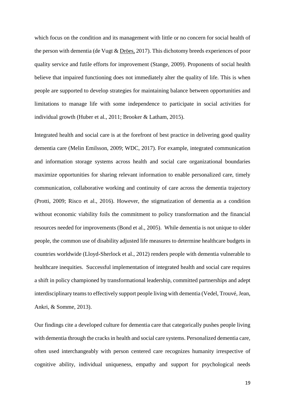which focus on the condition and its management with little or no concern for social health of the person with dementia (de Vugt & [Dröes,](http://www.tandfonline.com/author/Dr%C3%B6es%2C+Rose-Marie) 2017). This dichotomy breeds experiences of poor quality service and futile efforts for improvement (Stange, 2009). Proponents of social health believe that impaired functioning does not immediately alter the quality of life. This is when people are supported to develop strategies for maintaining balance between opportunities and limitations to manage life with some independence to participate in social activities for individual growth (Huber et al., 2011; Brooker & Latham, 2015).

Integrated health and social care is at the forefront of best practice in delivering good quality dementia care (Melin Emilsson, 2009; WDC, 2017). For example, integrated communication and information storage systems across health and social care organizational boundaries maximize opportunities for sharing relevant information to enable personalized care, timely communication, collaborative working and continuity of care across the dementia trajectory (Protti, 2009; Risco et al., 2016). However, the stigmatization of dementia as a condition without economic viability foils the commitment to policy transformation and the financial resources needed for improvements (Bond et al., 2005). While dementia is not unique to older people, the common use of disability adjusted life measures to determine healthcare budgets in countries worldwide (Lloyd-Sherlock et al., 2012) renders people with dementia vulnerable to healthcare inequities. Successful implementation of integrated health and social care requires a shift in policy championed by transformational leadership, committed partnerships and adept interdisciplinary teams to effectively support people living with dementia (Vedel, Trouvé, Jean, Ankri, & Somme, 2013).

Our findings cite a developed culture for dementia care that categorically pushes people living with dementia through the cracks in health and social care systems. Personalized dementia care, often used interchangeably with person centered care recognizes humanity irrespective of cognitive ability, individual uniqueness, empathy and support for psychological needs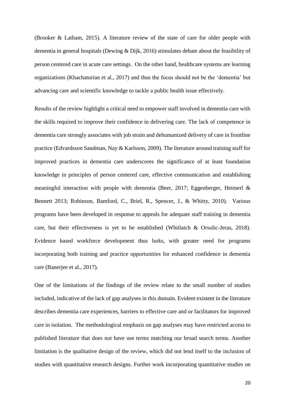(Brooker & Latham, 2015). A literature review of the state of care for older people with dementia in general hospitals (Dewing & Dijk, 2016) stimulates debate about the feasibility of person centered care in acute care settings. On the other hand, healthcare systems are learning organizations (Khachaturian et al., 2017) and thus the focus should not be the 'dementia' but advancing care and scientific knowledge to tackle a public health issue effectively.

Results of the review highlight a critical need to empower staff involved in dementia care with the skills required to improve their confidence in delivering care. The lack of competence in dementia care strongly associates with job strain and dehumanized delivery of care in frontline practice (Edvardsson Sandman, Nay & Karlsson, 2009). The literature around training staff for improved practices in dementia care underscores the significance of at least foundation knowledge in principles of person centered care, effective communication and establishing meaningful interaction with people with dementia (Beer, 2017; Eggenberger, Heimerl & Bennett 2013; Robinson, Bamford, C., Briel, R., Spencer, J., & Whitty, 2010). Various programs have been developed in response to appeals for adequate staff training in dementia care, but their effectiveness is yet to be established (Whitlatch & Orsulic-Jeras, 2018). Evidence based workforce development thus lurks, with greater need for programs incorporating both training and practice opportunities for enhanced confidence in dementia care (Banerjee et al., 2017).

One of the limitations of the findings of the review relate to the small number of studies included, indicative of the lack of gap analyses in this domain. Evident existent in the literature describes dementia care experiences, barriers to effective care and or facilitators for improved care in isolation. The methodological emphasis on gap analyses may have restricted access to published literature that does not have use terms matching our broad search terms. Another limitation is the qualitative design of the review, which did not lend itself to the inclusion of studies with quantitative research designs. Further work incorporating quantitative studies on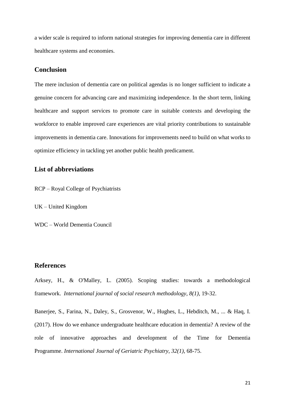a wider scale is required to inform national strategies for improving dementia care in different healthcare systems and economies.

# **Conclusion**

The mere inclusion of dementia care on political agendas is no longer sufficient to indicate a genuine concern for advancing care and maximizing independence. In the short term, linking healthcare and support services to promote care in suitable contexts and developing the workforce to enable improved care experiences are vital priority contributions to sustainable improvements in dementia care. Innovations for improvements need to build on what works to optimize efficiency in tackling yet another public health predicament.

# **List of abbreviations**

RCP – Royal College of Psychiatrists

UK – United Kingdom

WDC – World Dementia Council

# **References**

Arksey, H., & O'Malley, L. (2005). Scoping studies: towards a methodological framework. *International journal of social research methodology*, *8(1)*, 19-32.

Banerjee, S., Farina, N., Daley, S., Grosvenor, W., Hughes, L., Hebditch, M., ... & Haq, I. (2017). How do we enhance undergraduate healthcare education in dementia? A review of the role of innovative approaches and development of the Time for Dementia Programme. *International Journal of Geriatric Psychiatry*, *32(1)*, 68-75.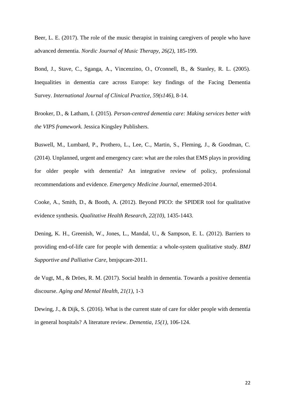Beer, L. E. (2017). The role of the music therapist in training caregivers of people who have advanced dementia. *Nordic Journal of Music Therapy, 26(2)*, 185-199.

Bond, J., Stave, C., Sganga, A., Vincenzino, O., O'connell, B., & Stanley, R. L. (2005). Inequalities in dementia care across Europe: key findings of the Facing Dementia Survey. *International Journal of Clinical Practice*, *59(s146)*, 8-14.

Brooker, D., & Latham, I. (2015). *Person-centred dementia care: Making services better with the VIPS framework*. Jessica Kingsley Publishers.

Buswell, M., Lumbard, P., Prothero, L., Lee, C., Martin, S., Fleming, J., & Goodman, C. (2014). Unplanned, urgent and emergency care: what are the roles that EMS plays in providing for older people with dementia? An integrative review of policy, professional recommendations and evidence. *Emergency Medicine Journal*, emermed-2014.

Cooke, A., Smith, D., & Booth, A. (2012). Beyond PICO: the SPIDER tool for qualitative evidence synthesis. *Qualitative Health Research*, *22(10)*, 1435-1443.

Dening, K. H., Greenish, W., Jones, L., Mandal, U., & Sampson, E. L. (2012). Barriers to providing end-of-life care for people with dementia: a whole-system qualitative study. *BMJ Supportive and Palliative Care*, bmjspcare-2011.

de Vugt, M., & Dröes, R. M. (2017). Social health in dementia. Towards a positive dementia discourse. *Aging and Mental Health, 21(1)*, 1-3

Dewing, J., & Dijk, S. (2016). What is the current state of care for older people with dementia in general hospitals? A literature review. *Dementia*, *15(1)*, 106-124.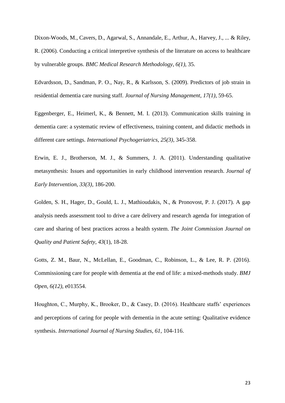Dixon-Woods, M., Cavers, D., Agarwal, S., Annandale, E., Arthur, A., Harvey, J., ... & Riley, R. (2006). Conducting a critical interpretive synthesis of the literature on access to healthcare by vulnerable groups. *BMC Medical Research Methodology*, *6(1)*, 35.

Edvardsson, D., Sandman, P. O., Nay, R., & Karlsson, S. (2009). Predictors of job strain in residential dementia care nursing staff. *Journal of Nursing Management*, *17(1)*, 59-65.

Eggenberger, E., Heimerl, K., & Bennett, M. I. (2013). Communication skills training in dementia care: a systematic review of effectiveness, training content, and didactic methods in different care settings. *International Psychogeriatrics*, *25(3)*, 345-358.

Erwin, E. J., Brotherson, M. J., & Summers, J. A. (2011). Understanding qualitative metasynthesis: Issues and opportunities in early childhood intervention research. *Journal of Early Intervention*, *33(3)*, 186-200.

Golden, S. H., Hager, D., Gould, L. J., Mathioudakis, N., & Pronovost, P. J. (2017). A gap analysis needs assessment tool to drive a care delivery and research agenda for integration of care and sharing of best practices across a health system. *The Joint Commission Journal on Quality and Patient Safety*, *43*(1), 18-28.

Gotts, Z. M., Baur, N., McLellan, E., Goodman, C., Robinson, L., & Lee, R. P. (2016). Commissioning care for people with dementia at the end of life: a mixed-methods study. *BMJ Open*, *6(12)*, e013554.

Houghton, C., Murphy, K., Brooker, D., & Casey, D. (2016). Healthcare staffs' experiences and perceptions of caring for people with dementia in the acute setting: Qualitative evidence synthesis. *International Journal of Nursing Studies*, *61*, 104-116.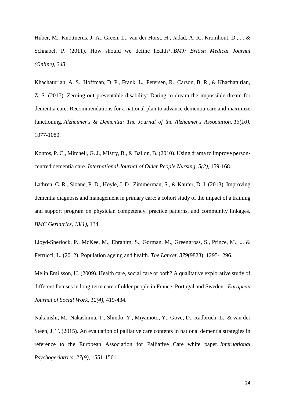Huber, M., Knottnerus, J. A., Green, L., van der Horst, H., Jadad, A. R., Kromhout, D., ... & Schnabel, P. (2011). How should we define health?. *BMJ: British Medical Journal (Online)*, *343*.

Khachaturian, A. S., Hoffman, D. P., Frank, L., Petersen, R., Carson, B. R., & Khachaturian, Z. S. (2017). Zeroing out preventable disability: Daring to dream the impossible dream for dementia care: Recommendations for a national plan to advance dementia care and maximize functioning. *Alzheimer's & Dementia: The Journal of the Alzheimer's Association*, *13(10),* 1077-1080.

Kontos, P. C., Mitchell, G. J., Mistry, B., & Ballon, B. (2010). Using drama to improve personcentred dementia care. *International Journal of Older People Nursing, 5(2)*, 159-168.

Lathren, C. R., Sloane, P. D., Hoyle, J. D., Zimmerman, S., & Kaufer, D. I. (2013). Improving dementia diagnosis and management in primary care: a cohort study of the impact of a training and support program on physician competency, practice patterns, and community linkages. *BMC Geriatrics, 13(1)*, 134.

Lloyd-Sherlock, P., McKee, M., Ebrahim, S., Gorman, M., Greengross, S., Prince, M., ... & Ferrucci, L. (2012). Population ageing and health. *The Lancet*, *379*(9823), 1295-1296.

Melin Emilsson, U. (2009). Health care, social care or both? A qualitative explorative study of different focuses in long-term care of older people in France, Portugal and Sweden. *European Journal of Social Work*, *12(4)*, 419-434.

Nakanishi, M., Nakashima, T., Shindo, Y., Miyamoto, Y., Gove, D., Radbruch, L., & van der Steen, J. T. (2015). An evaluation of palliative care contents in national dementia strategies in reference to the European Association for Palliative Care white paper. *International Psychogeriatrics*, *27(9)*, 1551-1561.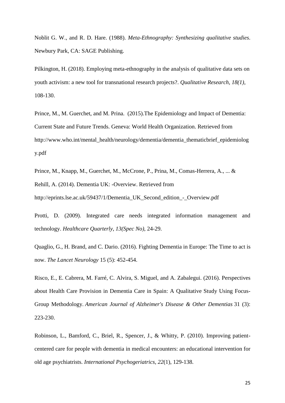Noblit G. W., and R. D. Hare. (1988). *Meta-Ethnography: Synthesizing qualitative studies*. Newbury Park, CA: SAGE Publishing.

Pilkington, H. (2018). Employing meta-ethnography in the analysis of qualitative data sets on youth activism: a new tool for transnational research projects?. *Qualitative Research*, *18(1)*, 108-130.

Prince, M., M. Guerchet, and M. Prina. (2015).The Epidemiology and Impact of Dementia: Current State and Future Trends. Geneva: World Health Organization. Retrieved from http://www.who.int/mental\_health/neurology/dementia/dementia\_thematicbrief\_epidemiolog y.pdf

Prince, M., Knapp, M., Guerchet, M., McCrone, P., Prina, M., Comas-Herrera, A., ... & Rehill, A. (2014). Dementia UK: -Overview. Retrieved from http://eprints.lse.ac.uk/59437/1/Dementia\_UK\_Second\_edition\_-\_Overview.pdf

Protti, D. (2009). Integrated care needs integrated information management and technology. *Healthcare Quarterly*, *13(Spec No)*, 24-29.

Quaglio, G., H. Brand, and C. Dario. (2016). Fighting Dementia in Europe: The Time to act is now. *The Lancet Neurology* 15 (5): 452-454.

Risco, E., E. Cabrera, M. Farré, C. Alvira, S. Miguel, and A. Zabalegui. (2016). Perspectives about Health Care Provision in Dementia Care in Spain: A Qualitative Study Using Focus-Group Methodology. *American Journal of Alzheimer's Disease & Other Dementias* 31 (3): 223-230.

Robinson, L., Bamford, C., Briel, R., Spencer, J., & Whitty, P. (2010). Improving patientcentered care for people with dementia in medical encounters: an educational intervention for old age psychiatrists. *International Psychogeriatrics, 22*(1), 129-138.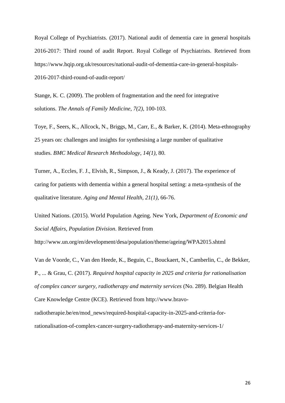Royal College of Psychiatrists. (2017). National audit of dementia care in general hospitals 2016-2017: Third round of audit Report. Royal College of Psychiatrists. Retrieved from https://www.hqip.org.uk/resources/national-audit-of-dementia-care-in-general-hospitals-2016-2017-third-round-of-audit-report/

Stange, K. C. (2009). The problem of fragmentation and the need for integrative solutions. *The Annals of Family Medicine*, *7(2)*, 100-103.

Toye, F., Seers, K., Allcock, N., Briggs, M., Carr, E., & Barker, K. (2014). Meta-ethnography 25 years on: challenges and insights for synthesising a large number of qualitative studies. *BMC Medical Research Methodology*, *14(1)*, 80.

Turner, A., Eccles, F. J., Elvish, R., Simpson, J., & Keady, J. (2017). The experience of caring for patients with dementia within a general hospital setting: a meta-synthesis of the qualitative literature. *Aging and Mental Health*, *21(1)*, 66-76.

United Nations. (2015). World Population Ageing. New York, *Department of Economic and Social Affairs, Population Division*. Retrieved from

http://www.un.org/en/development/desa/population/theme/ageing/WPA2015.shtml

Van de Voorde, C., Van den Heede, K., Beguin, C., Bouckaert, N., Camberlin, C., de Bekker, P., ... & Grau, C. (2017). *Required hospital capacity in 2025 and criteria for rationalisation of complex cancer surgery, radiotherapy and maternity services* (No. 289). Belgian Health Care Knowledge Centre (KCE). Retrieved from http://www.bravo-

radiotherapie.be/en/mod\_news/required-hospital-capacity-in-2025-and-criteria-forrationalisation-of-complex-cancer-surgery-radiotherapy-and-maternity-services-1/